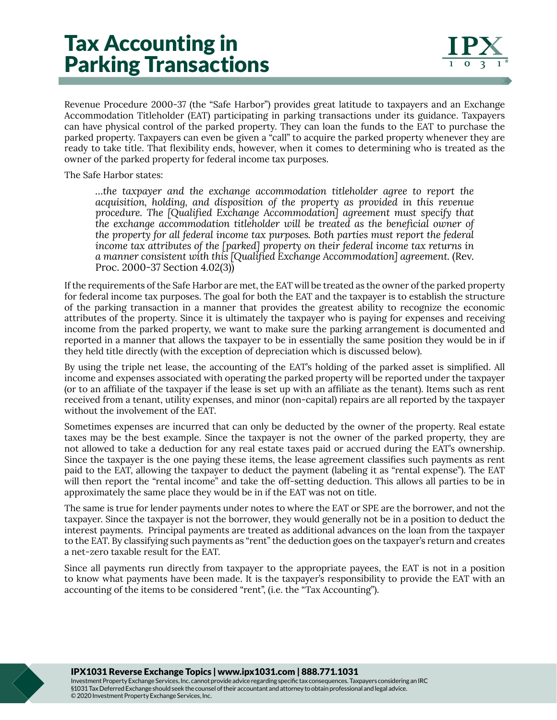## Tax Accounting in Parking Transactions

Revenue Procedure 2000-37 (the "Safe Harbor") provides great latitude to taxpayers and an Exchange Accommodation Titleholder (EAT) participating in parking transactions under its guidance. Taxpayers can have physical control of the parked property. They can loan the funds to the EAT to purchase the parked property. Taxpayers can even be given a "call" to acquire the parked property whenever they are ready to take title. That flexibility ends, however, when it comes to determining who is treated as the owner of the parked property for federal income tax purposes.

The Safe Harbor states:

*…the taxpayer and the exchange accommodation titleholder agree to report the acquisition, holding, and disposition of the property as provided in this revenue procedure. The [Qualified Exchange Accommodation] agreement must specify that the exchange accommodation titleholder will be treated as the beneficial owner of the property for all federal income tax purposes. Both parties must report the federal income tax attributes of the [parked] property on their federal income tax returns in a manner consistent with this [Qualified Exchange Accommodation] agreement.* (Rev. Proc. 2000-37 Section 4.02(3))

If the requirements of the Safe Harbor are met, the EAT will be treated as the owner of the parked property for federal income tax purposes. The goal for both the EAT and the taxpayer is to establish the structure of the parking transaction in a manner that provides the greatest ability to recognize the economic attributes of the property. Since it is ultimately the taxpayer who is paying for expenses and receiving income from the parked property, we want to make sure the parking arrangement is documented and reported in a manner that allows the taxpayer to be in essentially the same position they would be in if they held title directly (with the exception of depreciation which is discussed below).

By using the triple net lease, the accounting of the EAT's holding of the parked asset is simplified. All income and expenses associated with operating the parked property will be reported under the taxpayer (or to an affiliate of the taxpayer if the lease is set up with an affiliate as the tenant). Items such as rent received from a tenant, utility expenses, and minor (non-capital) repairs are all reported by the taxpayer without the involvement of the EAT.

Sometimes expenses are incurred that can only be deducted by the owner of the property. Real estate taxes may be the best example. Since the taxpayer is not the owner of the parked property, they are not allowed to take a deduction for any real estate taxes paid or accrued during the EAT's ownership. Since the taxpayer is the one paying these items, the lease agreement classifies such payments as rent paid to the EAT, allowing the taxpayer to deduct the payment (labeling it as "rental expense"). The EAT will then report the "rental income" and take the off-setting deduction. This allows all parties to be in approximately the same place they would be in if the EAT was not on title.

The same is true for lender payments under notes to where the EAT or SPE are the borrower, and not the taxpayer. Since the taxpayer is not the borrower, they would generally not be in a position to deduct the interest payments. Principal payments are treated as additional advances on the loan from the taxpayer to the EAT. By classifying such payments as "rent" the deduction goes on the taxpayer's return and creates a net-zero taxable result for the EAT.

Since all payments run directly from taxpayer to the appropriate payees, the EAT is not in a position to know what payments have been made. It is the taxpayer's responsibility to provide the EAT with an accounting of the items to be considered "rent", (i.e. the "Tax Accounting").

IPX1031 Reverse Exchange Topics | www.ipx1031.com | 888.771.1031

Investment Property Exchange Services, Inc. cannot provide advice regarding specific tax consequences. Taxpayers considering an IRC §1031 Tax Deferred Exchange should seek the counsel of their accountant and attorney to obtain professional and legal advice. © 2020 Investment Property Exchange Services, Inc.